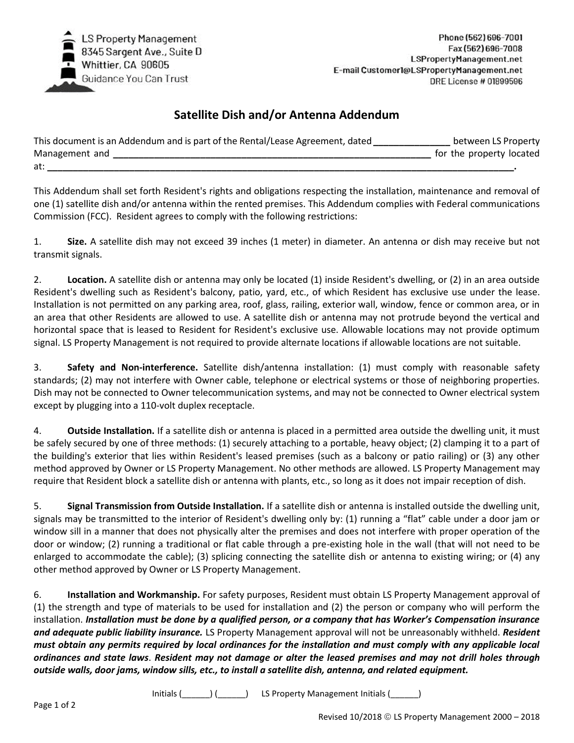

## **Satellite Dish and/or Antenna Addendum**

| This document is an Addendum and is part of the Rental/Lease Agreement, dated | between LS Property      |
|-------------------------------------------------------------------------------|--------------------------|
| Management and                                                                | for the property located |
| at:                                                                           |                          |

This Addendum shall set forth Resident's rights and obligations respecting the installation, maintenance and removal of one (1) satellite dish and/or antenna within the rented premises. This Addendum complies with Federal communications Commission (FCC). Resident agrees to comply with the following restrictions:

1. **Size.** A satellite dish may not exceed 39 inches (1 meter) in diameter. An antenna or dish may receive but not transmit signals.

2. **Location.** A satellite dish or antenna may only be located (1) inside Resident's dwelling, or (2) in an area outside Resident's dwelling such as Resident's balcony, patio, yard, etc., of which Resident has exclusive use under the lease. Installation is not permitted on any parking area, roof, glass, railing, exterior wall, window, fence or common area, or in an area that other Residents are allowed to use. A satellite dish or antenna may not protrude beyond the vertical and horizontal space that is leased to Resident for Resident's exclusive use. Allowable locations may not provide optimum signal. LS Property Management is not required to provide alternate locations if allowable locations are not suitable.

3. **Safety and Non-interference.** Satellite dish/antenna installation: (1) must comply with reasonable safety standards; (2) may not interfere with Owner cable, telephone or electrical systems or those of neighboring properties. Dish may not be connected to Owner telecommunication systems, and may not be connected to Owner electrical system except by plugging into a 110-volt duplex receptacle.

4. **Outside Installation.** If a satellite dish or antenna is placed in a permitted area outside the dwelling unit, it must be safely secured by one of three methods: (1) securely attaching to a portable, heavy object; (2) clamping it to a part of the building's exterior that lies within Resident's leased premises (such as a balcony or patio railing) or (3) any other method approved by Owner or LS Property Management. No other methods are allowed. LS Property Management may require that Resident block a satellite dish or antenna with plants, etc., so long as it does not impair reception of dish.

5. **Signal Transmission from Outside Installation.** If a satellite dish or antenna is installed outside the dwelling unit, signals may be transmitted to the interior of Resident's dwelling only by: (1) running a "flat" cable under a door jam or window sill in a manner that does not physically alter the premises and does not interfere with proper operation of the door or window; (2) running a traditional or flat cable through a pre-existing hole in the wall (that will not need to be enlarged to accommodate the cable); (3) splicing connecting the satellite dish or antenna to existing wiring; or (4) any other method approved by Owner or LS Property Management.

6. **Installation and Workmanship.** For safety purposes, Resident must obtain LS Property Management approval of (1) the strength and type of materials to be used for installation and (2) the person or company who will perform the installation. *Installation must be done by a qualified person, or a company that has Worker's Compensation insurance and adequate public liability insurance.* LS Property Management approval will not be unreasonably withheld. *Resident must obtain any permits required by local ordinances for the installation and must comply with any applicable local ordinances and state laws*. *Resident may not damage or alter the leased premises and may not drill holes through outside walls, door jams, window sills, etc., to install a satellite dish, antenna, and related equipment.*

Initials (\_\_\_\_\_\_) (\_\_\_\_\_\_) LS Property Management Initials (\_\_\_\_\_\_)